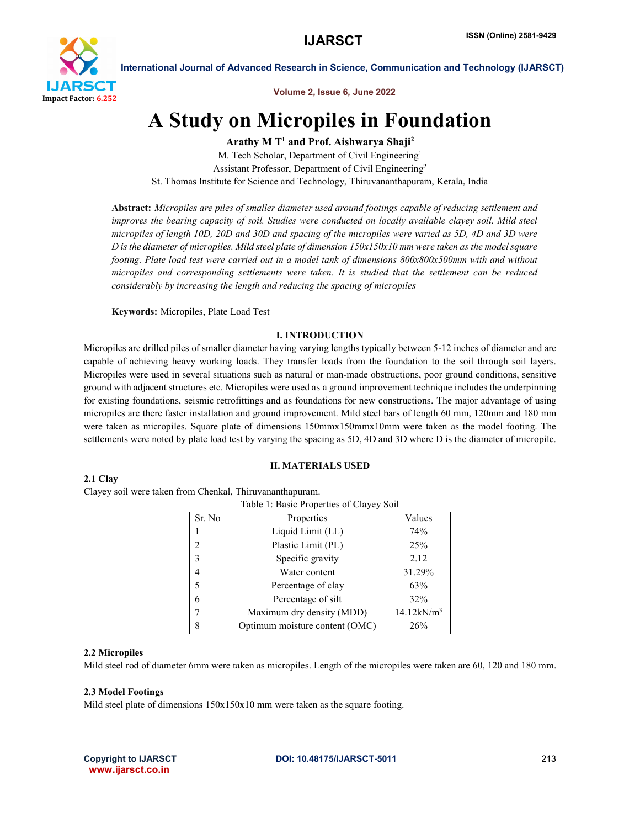

Volume 2, Issue 6, June 2022

## A Study on Micropiles in Foundation

Arathy M  $T<sup>1</sup>$  and Prof. Aishwarya Shaji<sup>2</sup>

M. Tech Scholar, Department of Civil Engineering<sup>1</sup> Assistant Professor, Department of Civil Engineering2 St. Thomas Institute for Science and Technology, Thiruvananthapuram, Kerala, India

Abstract: *Micropiles are piles of smaller diameter used around footings capable of reducing settlement and improves the bearing capacity of soil. Studies were conducted on locally available clayey soil. Mild steel micropiles of length 10D, 20D and 30D and spacing of the micropiles were varied as 5D, 4D and 3D were D is the diameter of micropiles. Mild steel plate of dimension 150x150x10 mm were taken as the model square footing. Plate load test were carried out in a model tank of dimensions 800x800x500mm with and without micropiles and corresponding settlements were taken. It is studied that the settlement can be reduced considerably by increasing the length and reducing the spacing of micropiles*

Keywords: Micropiles, Plate Load Test

### I. INTRODUCTION

Micropiles are drilled piles of smaller diameter having varying lengths typically between 5-12 inches of diameter and are capable of achieving heavy working loads. They transfer loads from the foundation to the soil through soil layers. Micropiles were used in several situations such as natural or man-made obstructions, poor ground conditions, sensitive ground with adjacent structures etc. Micropiles were used as a ground improvement technique includes the underpinning for existing foundations, seismic retrofittings and as foundations for new constructions. The major advantage of using micropiles are there faster installation and ground improvement. Mild steel bars of length 60 mm, 120mm and 180 mm were taken as micropiles. Square plate of dimensions 150mmx150mmx10mm were taken as the model footing. The settlements were noted by plate load test by varying the spacing as 5D, 4D and 3D where D is the diameter of micropile.

II. MATERIALS USED

### 2.1 Clay

Clayey soil were taken from Chenkal, Thiruvananthapuram.

| Table 1: Basic Properties of Clayey Soil |                                |                           |  |  |  |  |  |
|------------------------------------------|--------------------------------|---------------------------|--|--|--|--|--|
| Sr. No                                   | Properties                     | Values                    |  |  |  |  |  |
|                                          | Liquid Limit (LL)              | 74%                       |  |  |  |  |  |
| $\mathfrak{D}$                           | Plastic Limit (PL)             | 25%                       |  |  |  |  |  |
| $\mathbf{3}$                             | Specific gravity               | 2.12                      |  |  |  |  |  |
| 4                                        | Water content                  | 31.29%                    |  |  |  |  |  |
| 5                                        | Percentage of clay             | 63%                       |  |  |  |  |  |
| 6                                        | Percentage of silt             | 32%                       |  |  |  |  |  |
| 7                                        | Maximum dry density (MDD)      | $14.12$ kN/m <sup>3</sup> |  |  |  |  |  |
| 8                                        | Optimum moisture content (OMC) | 26%                       |  |  |  |  |  |

### 2.2 Micropiles

Mild steel rod of diameter 6mm were taken as micropiles. Length of the micropiles were taken are 60, 120 and 180 mm.

### 2.3 Model Footings

Mild steel plate of dimensions 150x150x10 mm were taken as the square footing.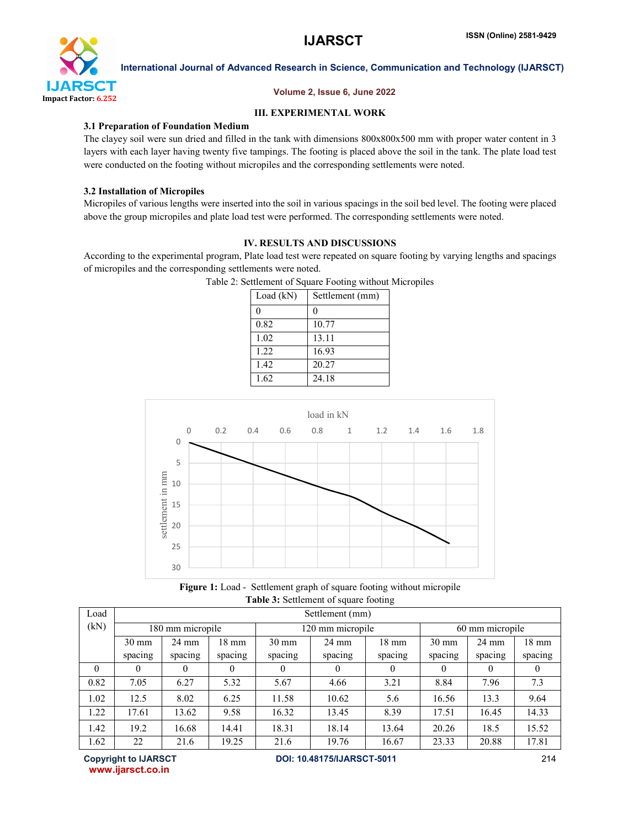

### Volume 2, Issue 6, June 2022

### III. EXPERIMENTAL WORK

### 3.1 Preparation of Foundation Medium

The clayey soil were sun dried and filled in the tank with dimensions 800x800x500 mm with proper water content in 3 layers with each layer having twenty five tampings. The footing is placed above the soil in the tank. The plate load test were conducted on the footing without micropiles and the corresponding settlements were noted.

### 3.2 Installation of Micropiles

Micropiles of various lengths were inserted into the soil in various spacings in the soil bed level. The footing were placed above the group micropiles and plate load test were performed. The corresponding settlements were noted.

## IV. RESULTS AND DISCUSSIONS

According to the experimental program, Plate load test were repeated on square footing by varying lengths and spacings of micropiles and the corresponding settlements were noted.

| Load $(kN)$ | Settlement (mm) |
|-------------|-----------------|
| 0           | $\mathbf{0}$    |
| 0.82        | 10.77           |
| 1.02        | 13.11           |
| 1.22        | 16.93           |
| 1.42        | 20.27           |
| 1.62        | 24.18           |
|             |                 |





Figure 1: Load - Settlement graph of square footing without micropile Table 3: Settlement of square footing

| Load     | Settlement (mm)  |                 |                 |                  |                 |                 |                 |                 |                 |  |
|----------|------------------|-----------------|-----------------|------------------|-----------------|-----------------|-----------------|-----------------|-----------------|--|
| (kN)     | 180 mm micropile |                 |                 | 120 mm micropile |                 |                 | 60 mm micropile |                 |                 |  |
|          | $30 \text{ mm}$  | $24 \text{ mm}$ | $18 \text{ mm}$ | $30 \text{ mm}$  | $24 \text{ mm}$ | $18 \text{ mm}$ | $30 \text{ mm}$ | $24 \text{ mm}$ | $18 \text{ mm}$ |  |
|          | spacing          | spacing         | spacing         | spacing          | spacing         | spacing         | spacing         | spacing         | spacing         |  |
| $\theta$ |                  | 0               | $\theta$        |                  | 0               | $\bf{0}$        | $\theta$        | $\theta$        |                 |  |
| 0.82     | 7.05             | 6.27            | 5.32            | 5.67             | 4.66            | 3.21            | 8.84            | 7.96            | 7.3             |  |
| 1.02     | 12.5             | 8.02            | 6.25            | 11.58            | 10.62           | 5.6             | 16.56           | 13.3            | 9.64            |  |
| 1.22     | 17.61            | 13.62           | 9.58            | 16.32            | 13.45           | 8.39            | 17.51           | 16.45           | 14.33           |  |
| 1.42     | 19.2             | 16.68           | 14.41           | 18.31            | 18.14           | 13.64           | 20.26           | 18.5            | 15.52           |  |
| 1.62     | 22               | 21.6            | 19.25           | 21.6             | 19.76           | 16.67           | 23.33           | 20.88           | 17.81           |  |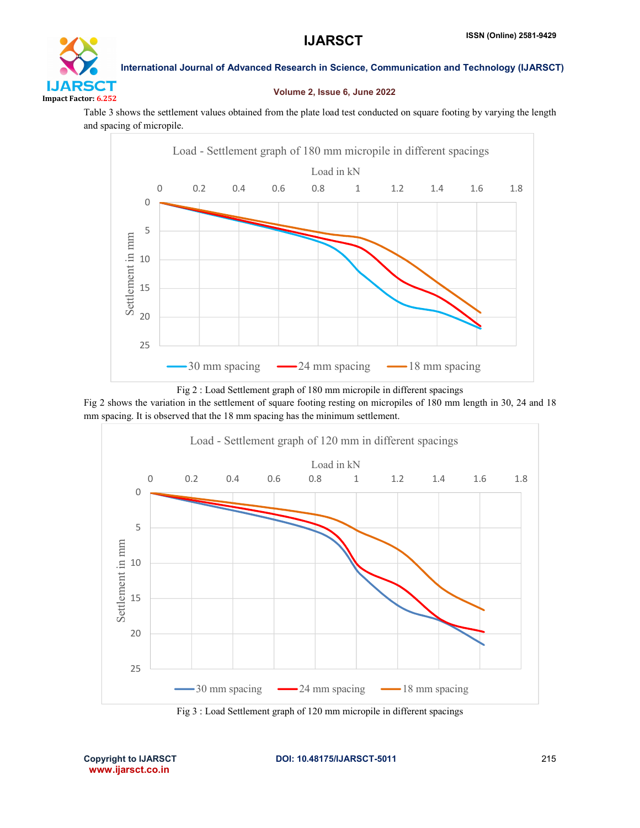# DТ Impact Factor: 6.252

International Journal of Advanced Research in Science, Communication and Technology (IJARSCT)

### Volume 2, Issue 6, June 2022

Table 3 shows the settlement values obtained from the plate load test conducted on square footing by varying the length and spacing of micropile.



Fig 2 : Load Settlement graph of 180 mm micropile in different spacings

Fig 2 shows the variation in the settlement of square footing resting on micropiles of 180 mm length in 30, 24 and 18 mm spacing. It is observed that the 18 mm spacing has the minimum settlement.



Fig 3 : Load Settlement graph of 120 mm micropile in different spacings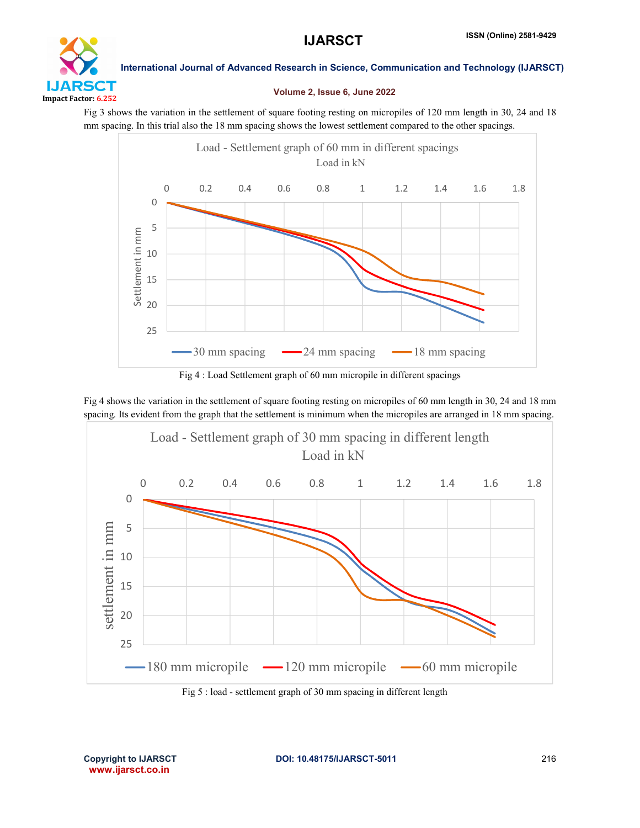

### Volume 2, Issue 6, June 2022

Fig 3 shows the variation in the settlement of square footing resting on micropiles of 120 mm length in 30, 24 and 18 mm spacing. In this trial also the 18 mm spacing shows the lowest settlement compared to the other spacings.



Fig 4 : Load Settlement graph of 60 mm micropile in different spacings

Fig 4 shows the variation in the settlement of square footing resting on micropiles of 60 mm length in 30, 24 and 18 mm spacing. Its evident from the graph that the settlement is minimum when the micropiles are arranged in 18 mm spacing.



Fig 5 : load - settlement graph of 30 mm spacing in different length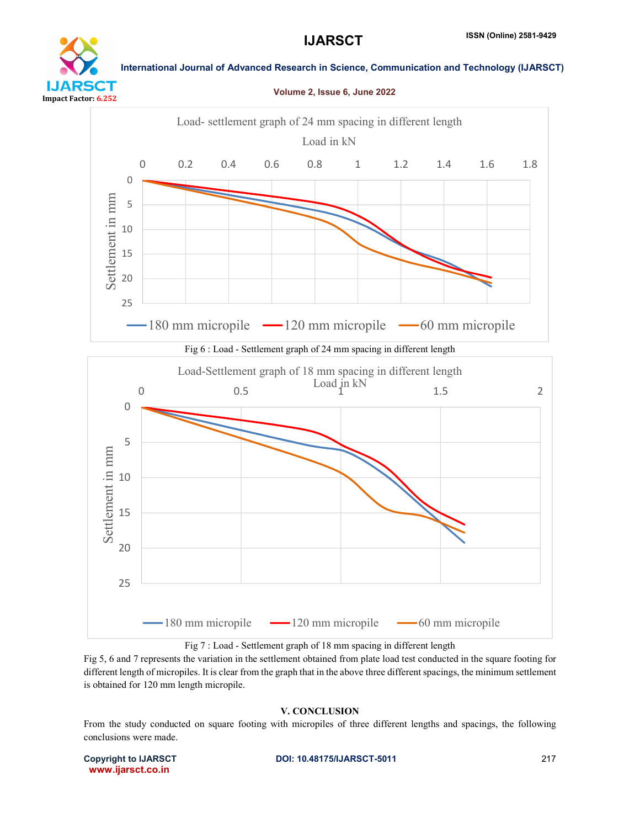Volume 2, Issue 6, June 2022



### International Journal of Advanced Research in Science, Communication and Technology (IJARSCT)







Fig 5, 6 and 7 represents the variation in the settlement obtained from plate load test conducted in the square footing for different length of micropiles. It is clear from the graph that in the above three different spacings, the minimum settlement is obtained for 120 mm length micropile.

## V. CONCLUSION

From the study conducted on square footing with micropiles of three different lengths and spacings, the following conclusions were made.